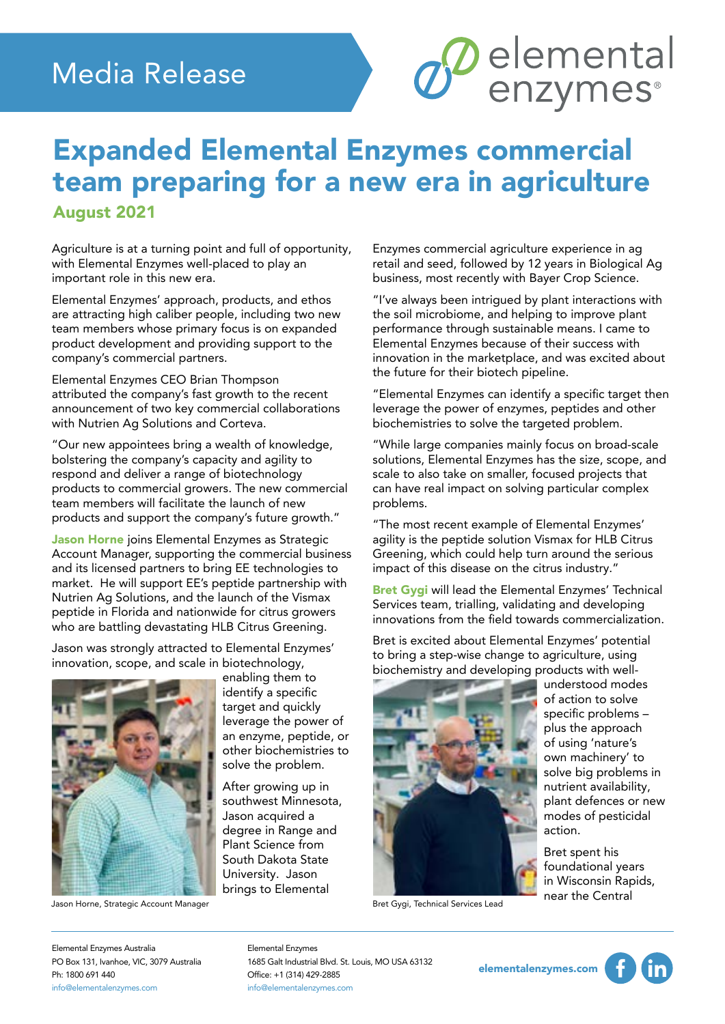## Media Release

## Expanded Elemental Enzymes commercial team preparing for a new era in agriculture August 2021

Agriculture is at a turning point and full of opportunity, with Elemental Enzymes well-placed to play an important role in this new era.

Elemental Enzymes' approach, products, and ethos are attracting high caliber people, including two new team members whose primary focus is on expanded product development and providing support to the company's commercial partners.

Elemental Enzymes CEO Brian Thompson attributed the company's fast growth to the recent announcement of two key commercial collaborations with Nutrien Ag Solutions and Corteva.

"Our new appointees bring a wealth of knowledge, bolstering the company's capacity and agility to respond and deliver a range of biotechnology products to commercial growers. The new commercial team members will facilitate the launch of new products and support the company's future growth."

Jason Horne joins Elemental Enzymes as Strategic Account Manager, supporting the commercial business and its licensed partners to bring EE technologies to market. He will support EE's peptide partnership with Nutrien Ag Solutions, and the launch of the Vismax peptide in Florida and nationwide for citrus growers who are battling devastating HLB Citrus Greening.

Jason was strongly attracted to Elemental Enzymes' innovation, scope, and scale in biotechnology,



Jason Horne, Strategic Account Manager

enabling them to identify a specific target and quickly leverage the power of an enzyme, peptide, or other biochemistries to solve the problem.

After growing up in southwest Minnesota, Jason acquired a degree in Range and Plant Science from South Dakota State University. Jason brings to Elemental

Enzymes commercial agriculture experience in ag retail and seed, followed by 12 years in Biological Ag business, most recently with Bayer Crop Science.

*S* elemental

"I've always been intrigued by plant interactions with the soil microbiome, and helping to improve plant performance through sustainable means. I came to Elemental Enzymes because of their success with innovation in the marketplace, and was excited about the future for their biotech pipeline.

"Elemental Enzymes can identify a specific target then leverage the power of enzymes, peptides and other biochemistries to solve the targeted problem.

"While large companies mainly focus on broad-scale solutions, Elemental Enzymes has the size, scope, and scale to also take on smaller, focused projects that can have real impact on solving particular complex problems.

"The most recent example of Elemental Enzymes' agility is the peptide solution Vismax for HLB Citrus Greening, which could help turn around the serious impact of this disease on the citrus industry."

Bret Gygi will lead the Elemental Enzymes' Technical Services team, trialling, validating and developing innovations from the field towards commercialization.

Bret is excited about Elemental Enzymes' potential to bring a step-wise change to agriculture, using biochemistry and developing products with well-



Bret Gygi, Technical Services Lead

understood modes of action to solve specific problems – plus the approach of using 'nature's own machinery' to solve big problems in nutrient availability, plant defences or new modes of pesticidal action.

Bret spent his foundational years in Wisconsin Rapids, near the Central

Elemental Enzymes Australia PO Box 131, Ivanhoe, VIC, 3079 Australia Ph: 1800 691 440 info@elementalenzymes.com

Elemental Enzymes 1685 Galt Industrial Blvd. St. Louis, MO USA 63132 Office: +1 (314) 429-2885 info@elementalenzymes.com